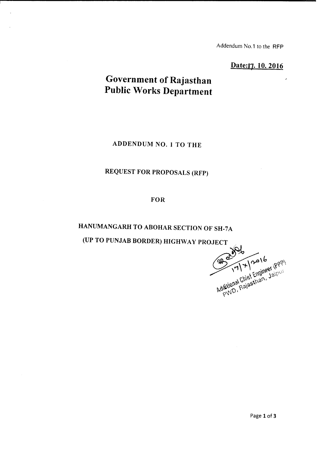Addendum No.1 to the RFP

Date:17. 10. 2016

## **Government of Rajasthan Public Works Department**

ADDENDUM NO.1 TO THE

## REQUEST FOR PROPOSALS (RFP)

FOR

HANUMANGARH TO ABOHAR SECTION OF SH-7A

(UP TO PUNJAB BORDER) HIGHWAY PROJECT

JECT WORD 14/2016<br>2017/7/2016 (PPP)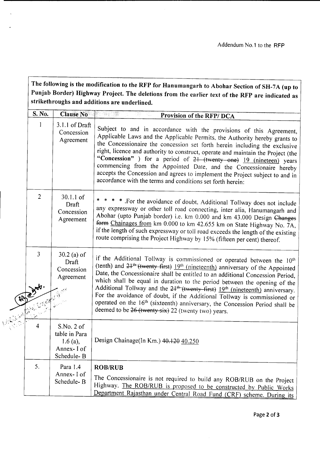The following is the modification to the RFP for Hanumangarh to Abohar Section of SH-7A (up to Punjab Border) Highway Project. The deletions from the earlier text of the RFP are indicated as strikethroughs and additions are underlined.

|             | S. No.         | <b>Clause No</b>                                                        | Provision of the RFP/DCA                                                                                                                                                                                                                                                                                                                                                                                                                                                                                                                                                                                                                                                    |
|-------------|----------------|-------------------------------------------------------------------------|-----------------------------------------------------------------------------------------------------------------------------------------------------------------------------------------------------------------------------------------------------------------------------------------------------------------------------------------------------------------------------------------------------------------------------------------------------------------------------------------------------------------------------------------------------------------------------------------------------------------------------------------------------------------------------|
| $2\sqrt{2}$ | -1             | 3.1.1 of Draft<br>Concession<br>Agreement                               | Subject to and in accordance with the provisions of this Agreement,<br>Applicable Laws and the Applicable Permits, the Authority hereby grants to<br>the Concessionaire the concession set forth herein including the exclusive<br>right, licence and authority to construct, operate and maintain the Project (the<br>"Concession") for a period of 2+ (twenty one) 19 (nineteen) years<br>commencing from the Appointed Date, and the Concessionaire hereby<br>accepts the Concession and agrees to implement the Project subject to and in<br>accordance with the terms and conditions set forth herein:                                                                 |
|             | $\overline{2}$ | 30.1.1 of<br>Draft<br>Concession<br>Agreement                           | * * * * For the avoidance of doubt, Additional Tollway does not include<br>any expressway or other toll road connecting, inter alia, Hanumangarh and<br>Abohar (upto Punjab border) i.e. km 0.000 and km 43.000 Design Changes<br>form Chainages from km 0.000 to km 42.655 km on State Highway No. 7A,<br>if the length of such expressway or toll road exceeds the length of the existing<br>route comprising the Project Highway by 15% (fifteen per cent) thereof.                                                                                                                                                                                                      |
|             | $\mathfrak{Z}$ | $30.2$ (a) of<br>Draft<br>Concession<br>Agreement                       | if the Additional Tollway is commissioned or operated between the 10th<br>(tenth) and 2 <sup>1th</sup> (twenty first) 19 <sup>th</sup> (nineteenth) anniversary of the Appointed<br>Date, the Concessionaire shall be entitled to an additional Concession Period,<br>which shall be equal in duration to the period between the opening of the<br>Additional Tollway and the 2 <sup>1th</sup> (twenty first) 19th (nineteenth) anniversary.<br>For the avoidance of doubt, if the Additional Tollway is commissioned or<br>operated on the 16 <sup>th</sup> (sixteenth) anniversary, the Concession Period shall be<br>deemed to be 26 (twenty six) 22 (twenty two) years. |
|             | 4              | S.No. 2 of<br>table in Para<br>1.6 $(a)$ ,<br>Annex- I of<br>Schedule-B | Design Chainage(In Km.) 40.120 40.250                                                                                                                                                                                                                                                                                                                                                                                                                                                                                                                                                                                                                                       |
|             | 5.             | Para 1.4<br>Annex-I of<br>Schedule-B                                    | <b>ROB/RUB</b><br>The Concessionaire is not required to build any ROB/RUB on the Project<br>Highway. The ROB/RUB is proposed to be constructed by Public Works<br>Department Rajasthan under Central Road Fund (CRF) scheme. During its                                                                                                                                                                                                                                                                                                                                                                                                                                     |